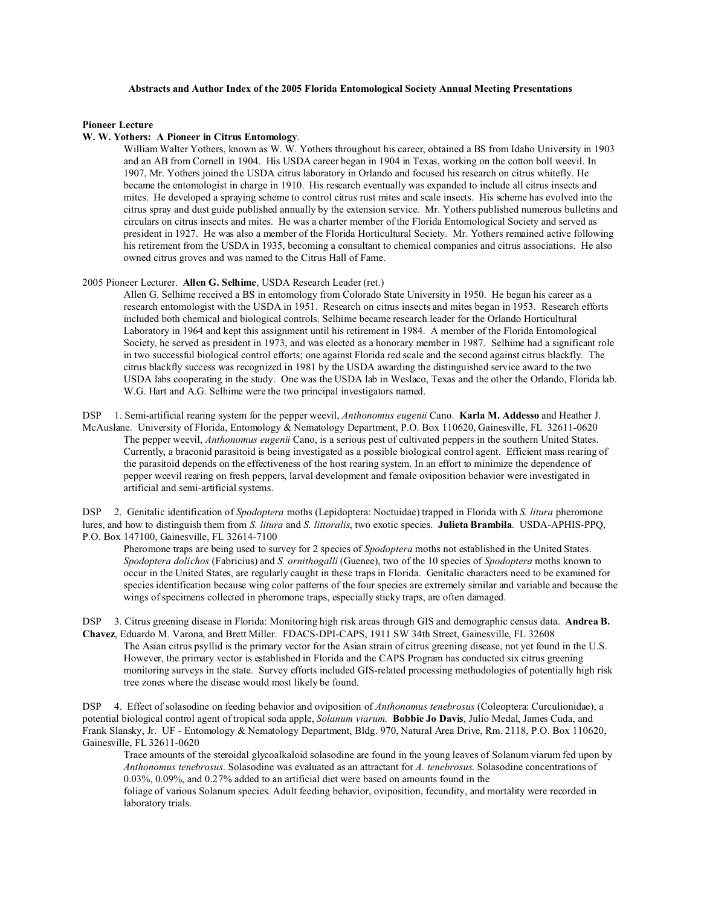## **Abstracts and Author Index of the 2005 Florida Entomological Society Annual Meeting Presentations**

## **Pioneer Lecture**

## **W. W. Yothers: A Pioneer in Citrus Entomology**.

William Walter Yothers, known as W. W. Yothers throughout his career, obtained a BS from Idaho University in 1903 and an AB from Cornell in 1904. His USDA career began in 1904 in Texas, working on the cotton boll weevil. In 1907, Mr. Yothers joined the USDA citrus laboratory in Orlando and focused his research on citrus whitefly. He became the entomologist in charge in 1910. His research eventually was expanded to include all citrus insects and mites. He developed a spraying scheme to control citrus rust mites and scale insects. His scheme has evolved into the citrus spray and dust guide published annually by the extension service. Mr. Yothers published numerous bulletins and circulars on citrus insects and mites. He was a charter member of the Florida Entomological Society and served as president in 1927. He was also a member of the Florida Horticultural Society. Mr. Yothers remained active following his retirement from the USDA in 1935, becoming a consultant to chemical companies and citrus associations. He also owned citrus groves and was named to the Citrus Hall of Fame.

2005 Pioneer Lecturer. **Allen G. Selhime**, USDA Research Leader (ret.)

Allen G. Selhime received a BS in entomology from Colorado State University in 1950. He began his career as a research entomologist with the USDA in 1951. Research on citrus insects and mites began in 1953. Research efforts included both chemical and biological controls. Selhime became research leader for the Orlando Horticultural Laboratory in 1964 and kept this assignment until his retirement in 1984. A member of the Florida Entomological Society, he served as president in 1973, and was elected as a honorary member in 1987. Selhime had a significant role in two successful biological control efforts; one against Florida red scale and the second against citrus blackfly. The citrus blackfly success was recognized in 1981 by the USDA awarding the distinguished service award to the two USDA labs cooperating in the study. One was the USDA lab in Weslaco, Texas and the other the Orlando, Florida lab. W.G. Hart and A.G. Selhime were the two principal investigators named.

DSP 1. Semi-artificial rearing system for the pepper weevil, *Anthonomus eugenii* Cano. **Karla M. Addesso** and Heather J. McAuslane. University of Florida, Entomology & Nematology Department, P.O. Box 110620, Gainesville, FL 32611-0620 The pepper weevil, *Anthonomus eugenii* Cano, is a serious pest of cultivated peppers in the southern United States. Currently, a braconid parasitoid is being investigated as a possible biological control agent. Efficient mass rearing of the parasitoid depends on the effectiveness of the host rearing system. In an effort to minimize the dependence of pepper weevil rearing on fresh peppers, larval development and female oviposition behavior were investigated in artificial and semi-artificial systems.

DSP 2. Genitalic identification of *Spodoptera* moths (Lepidoptera: Noctuidae) trapped in Florida with *S. litura* pheromone lures, and how to distinguish them from *S. litura* and *S. littoralis*, two exotic species. **Julieta Brambila**. USDA-APHIS-PPQ, P.O. Box 147100, Gainesville, FL 32614-7100

Pheromone traps are being used to survey for 2 species of *Spodoptera* moths not established in the United States. *Spodoptera dolichos* (Fabricius) and *S. ornithogalli* (Guenee), two of the 10 species of *Spodoptera* moths known to occur in the United States, are regularly caught in these traps in Florida. Genitalic characters need to be examined for species identification because wing color patterns of the four species are extremely similar and variable and because the wings of specimens collected in pheromone traps, especially sticky traps, are often damaged.

DSP 3. Citrus greening disease in Florida: Monitoring high risk areas through GIS and demographic census data. **Andrea B. Chavez**, Eduardo M. Varona, and Brett Miller. FDACS-DPI-CAPS, 1911 SW 34th Street, Gainesville, FL 32608

The Asian citrus psyllid is the primary vector for the Asian strain of citrus greening disease, not yet found in the U.S. However, the primary vector is established in Florida and the CAPS Program has conducted six citrus greening monitoring surveys in the state. Survey efforts included GIS-related processing methodologies of potentially high risk tree zones where the disease would most likely be found.

DSP 4. Effect of solasodine on feeding behavior and oviposition of *Anthonomus tenebrosus* (Coleoptera: Curculionidae), a potential biological control agent of tropical soda apple, *Solanum viarum*. **Bobbie Jo Davis**, Julio Medal, James Cuda, and Frank Slansky, Jr. UF - Entomology & Nematology Department, Bldg. 970, Natural Area Drive, Rm. 2118, P.O. Box 110620, Gainesville, FL 32611-0620

Trace amounts of the steroidal glycoalkaloid solasodine are found in the young leaves of Solanum viarum fed upon by *Anthonomus tenebrosus*. Solasodine was evaluated as an attractant for *A. tenebrosus*. Solasodine concentrations of 0.03%, 0.09%, and 0.27% added to an artificial diet were based on amounts found in the

foliage of various Solanum species. Adult feeding behavior, oviposition, fecundity, and mortality were recorded in laboratory trials.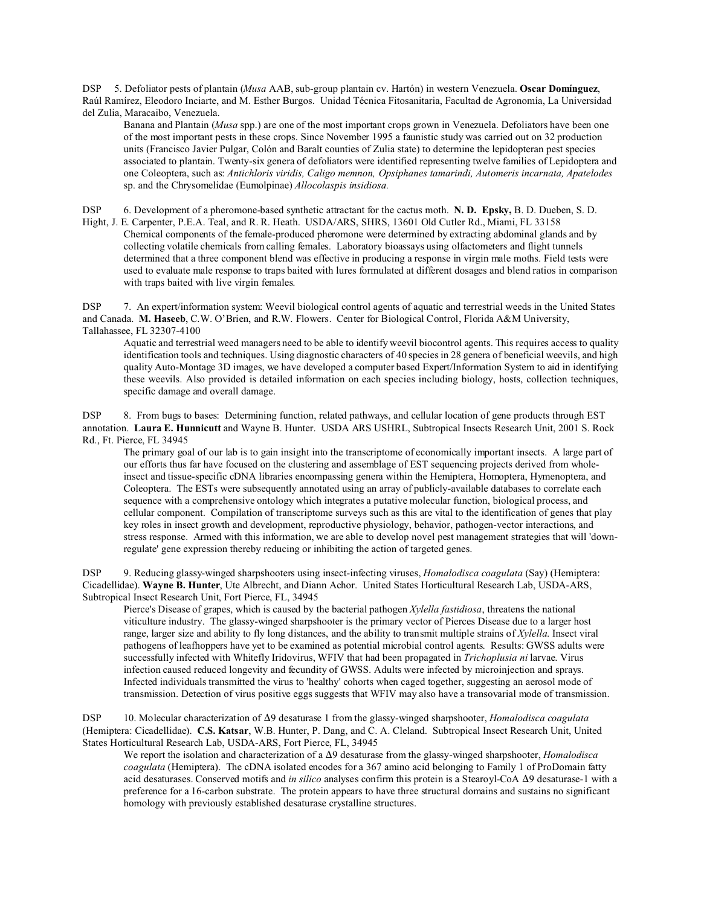DSP 5. Defoliator pests of plantain (*Musa* AAB, sub-group plantain cv. Hartón) in western Venezuela. **Oscar Domínguez**, Raúl Ramírez, Eleodoro Inciarte, and M. Esther Burgos. Unidad Técnica Fitosanitaria, Facultad de Agronomía, La Universidad del Zulia, Maracaibo, Venezuela.

Banana and Plantain (*Musa* spp.) are one of the most important crops grown in Venezuela. Defoliators have been one of the most important pests in these crops. Since November 1995 a faunistic study was carried out on 32 production units (Francisco Javier Pulgar, Colón and Baralt counties of Zulia state) to determine the lepidopteran pest species associated to plantain. Twenty-six genera of defoliators were identified representing twelve families of Lepidoptera and one Coleoptera, such as: *Antichloris viridis, Caligo memnon, Opsiphanes tamarindi, Automeris incarnata, Apatelodes* sp. and the Chrysomelidae (Eumolpinae) *Allocolaspis insidiosa.*

DSP 6. Development of a pheromone-based synthetic attractant for the cactus moth. **N. D. Epsky,** B. D. Dueben, S. D. Hight, J. E. Carpenter, P.E.A. Teal, and R. R. Heath. USDA/ARS, SHRS, 13601 Old Cutler Rd., Miami, FL 33158 Chemical components of the female-produced pheromone were determined by extracting abdominal glands and by collecting volatile chemicals from calling females. Laboratory bioassays using olfactometers and flight tunnels determined that a three component blend was effective in producing a response in virgin male moths. Field tests were used to evaluate male response to traps baited with lures formulated at different dosages and blend ratios in comparison with traps baited with live virgin females.

DSP 7. An expert/information system: Weevil biological control agents of aquatic and terrestrial weeds in the United States and Canada. **M. Haseeb**, C.W. O'Brien, and R.W. Flowers. Center for Biological Control, Florida A&M University, Tallahassee, FL 32307-4100

Aquatic and terrestrial weed managers need to be able to identify weevil biocontrol agents. This requires access to quality identification tools and techniques. Using diagnostic characters of 40 species in 28 genera of beneficial weevils, and high quality Auto-Montage 3D images, we have developed a computer based Expert/Information System to aid in identifying these weevils. Also provided is detailed information on each species including biology, hosts, collection techniques, specific damage and overall damage.

DSP 8. From bugs to bases: Determining function, related pathways, and cellular location of gene products through EST annotation. **Laura E. Hunnicutt** and Wayne B. Hunter. USDA ARS USHRL, Subtropical Insects Research Unit, 2001 S. Rock Rd., Ft. Pierce, FL 34945

The primary goal of our lab is to gain insight into the transcriptome of economically important insects. A large part of our efforts thus far have focused on the clustering and assemblage of EST sequencing projects derived from wholeinsect and tissue-specific cDNA libraries encompassing genera within the Hemiptera, Homoptera, Hymenoptera, and Coleoptera. The ESTs were subsequently annotated using an array of publicly-available databases to correlate each sequence with a comprehensive ontology which integrates a putative molecular function, biological process, and cellular component. Compilation of transcriptome surveys such as this are vital to the identification of genes that play key roles in insect growth and development, reproductive physiology, behavior, pathogen-vector interactions, and stress response. Armed with this information, we are able to develop novel pest management strategies that will 'downregulate' gene expression thereby reducing or inhibiting the action of targeted genes.

DSP 9. Reducing glassy-winged sharpshooters using insect-infecting viruses, *Homalodisca coagulata* (Say) (Hemiptera: Cicadellidae). **Wayne B. Hunter**, Ute Albrecht, and Diann Achor. United States Horticultural Research Lab, USDA-ARS, Subtropical Insect Research Unit, Fort Pierce, FL, 34945

Pierce's Disease of grapes, which is caused by the bacterial pathogen *Xylella fastidiosa*, threatens the national viticulture industry. The glassy-winged sharpshooter is the primary vector of Pierces Disease due to a larger host range, larger size and ability to fly long distances, and the ability to transmit multiple strains of *Xylella*. Insect viral pathogens of leafhoppers have yet to be examined as potential microbial control agents. Results: GWSS adults were successfully infected with Whitefly Iridovirus, WFIV that had been propagated in *Trichoplusia ni* larvae. Virus infection caused reduced longevity and fecundity of GWSS. Adults were infected by microinjection and sprays. Infected individuals transmitted the virus to 'healthy' cohorts when caged together, suggesting an aerosol mode of transmission. Detection of virus positive eggs suggests that WFIV may also have a transovarial mode of transmission.

DSP 10. Molecular characterization of Δ9 desaturase 1 from the glassy-winged sharpshooter, *Homalodisca coagulata* (Hemiptera: Cicadellidae). **C.S. Katsar**, W.B. Hunter, P. Dang, and C. A. Cleland. Subtropical Insect Research Unit, United States Horticultural Research Lab, USDA-ARS, Fort Pierce, FL, 34945

We report the isolation and characterization of a  $\Delta$ 9 desaturase from the glassy-winged sharpshooter, *Homalodisca coagulata* (Hemiptera). The cDNA isolated encodes for a 367 amino acid belonging to Family 1 of ProDomain fatty acid desaturases. Conserved motifs and *in silico* analyses confirm this protein is a Stearoyl-CoA  $\Delta$ 9 desaturase-1 with a preference for a 16-carbon substrate. The protein appears to have three structural domains and sustains no significant homology with previously established desaturase crystalline structures.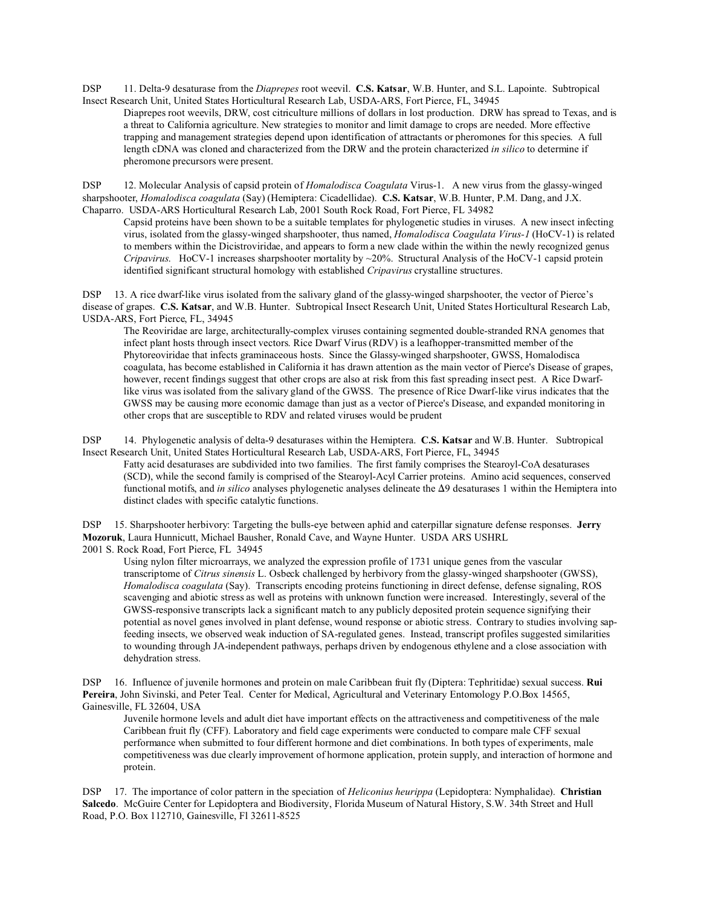DSP 11. Delta-9 desaturase from the *Diaprepes* root weevil. **C.S. Katsar**, W.B. Hunter, and S.L. Lapointe. Subtropical Insect Research Unit, United States Horticultural Research Lab, USDA-ARS, Fort Pierce, FL, 34945

Diaprepes root weevils, DRW, cost citriculture millions of dollars in lost production. DRW has spread to Texas, and is a threat to California agriculture. New strategies to monitor and limit damage to crops are needed. More effective trapping and management strategies depend upon identification of attractants or pheromones for this species. A full length cDNA was cloned and characterized from the DRW and the protein characterized *in silico* to determine if pheromone precursors were present.

DSP 12. Molecular Analysis of capsid protein of *Homalodisca Coagulata* Virus-1. A new virus from the glassy-winged sharpshooter, *Homalodisca coagulata* (Say) (Hemiptera: Cicadellidae). **C.S. Katsar**, W.B. Hunter, P.M. Dang, and J.X. Chaparro. USDA-ARS Horticultural Research Lab, 2001 South Rock Road, Fort Pierce, FL 34982

Capsid proteins have been shown to be a suitable templates for phylogenetic studies in viruses. A new insect infecting virus, isolated from the glassy-winged sharpshooter, thus named, *Homalodisca Coagulata Virus-1* (HoCV-1) is related to members within the Dicistroviridae, and appears to form a new clade within the within the newly recognized genus *Cripavirus*. HoCV-1 increases sharpshooter mortality by ~20%. Structural Analysis of the HoCV-1 capsid protein identified significant structural homology with established *Cripavirus* crystalline structures.

DSP 13. A rice dwarf-like virus isolated from the salivary gland of the glassy-winged sharpshooter, the vector of Pierce's disease of grapes. **C.S. Katsar**, and W.B. Hunter. Subtropical Insect Research Unit, United States Horticultural Research Lab, USDA-ARS, Fort Pierce, FL, 34945

The Reoviridae are large, architecturally-complex viruses containing segmented double-stranded RNA genomes that infect plant hosts through insect vectors. Rice Dwarf Virus (RDV) is a leafhopper-transmitted member of the Phytoreoviridae that infects graminaceous hosts. Since the Glassy-winged sharpshooter, GWSS, Homalodisca coagulata, has become established in California it has drawn attention as the main vector of Pierce's Disease of grapes, however, recent findings suggest that other crops are also at risk from this fast spreading insect pest. A Rice Dwarflike virus was isolated from the salivary gland of the GWSS. The presence of Rice Dwarf-like virus indicates that the GWSS may be causing more economic damage than just as a vector of Pierce's Disease, and expanded monitoring in other crops that are susceptible to RDV and related viruses would be prudent

DSP 14. Phylogenetic analysis of delta-9 desaturases within the Hemiptera. **C.S. Katsar** and W.B. Hunter. Subtropical Insect Research Unit, United States Horticultural Research Lab, USDA-ARS, Fort Pierce, FL, 34945

Fatty acid desaturases are subdivided into two families. The first family comprises the Stearoyl-CoA desaturases (SCD), while the second family is comprised of the Stearoyl-Acyl Carrier proteins. Amino acid sequences, conserved functional motifs, and *in silico* analyses phylogenetic analyses delineate the  $\Delta$ 9 desaturases 1 within the Hemiptera into distinct clades with specific catalytic functions.

DSP 15. Sharpshooter herbivory: Targeting the bulls-eye between aphid and caterpillar signature defense responses. **Jerry Mozoruk**, Laura Hunnicutt, Michael Bausher, Ronald Cave, and Wayne Hunter. USDA ARS USHRL 2001 S. Rock Road, Fort Pierce, FL 34945

Using nylon filter microarrays, we analyzed the expression profile of 1731 unique genes from the vascular transcriptome of *Citrus sinensis* L. Osbeck challenged by herbivory from the glassy-winged sharpshooter (GWSS), *Homalodisca coagulata* (Say). Transcripts encoding proteins functioning in direct defense, defense signaling, ROS scavenging and abiotic stress as well as proteins with unknown function were increased. Interestingly, several of the GWSS-responsive transcripts lack a significant match to any publicly deposited protein sequence signifying their potential as novel genes involved in plant defense, wound response or abiotic stress. Contrary to studies involving sapfeeding insects, we observed weak induction of SA-regulated genes. Instead, transcript profiles suggested similarities to wounding through JA-independent pathways, perhaps driven by endogenous ethylene and a close association with dehydration stress.

DSP 16. Influence of juvenile hormones and protein on male Caribbean fruit fly (Diptera: Tephritidae) sexual success. **Rui Pereira**, John Sivinski, and Peter Teal. Center for Medical, Agricultural and Veterinary Entomology P.O.Box 14565, Gainesville, FL 32604, USA

Juvenile hormone levels and adult diet have important effects on the attractiveness and competitiveness of the male Caribbean fruit fly (CFF). Laboratory and field cage experiments were conducted to compare male CFF sexual performance when submitted to four different hormone and diet combinations. In both types of experiments, male competitiveness was due clearly improvement of hormone application, protein supply, and interaction of hormone and protein.

DSP 17. The importance of color pattern in the speciation of *Heliconius heurippa* (Lepidoptera: Nymphalidae). **Christian Salcedo**. McGuire Center for Lepidoptera and Biodiversity, Florida Museum of Natural History, S.W. 34th Street and Hull Road, P.O. Box 112710, Gainesville, Fl 32611-8525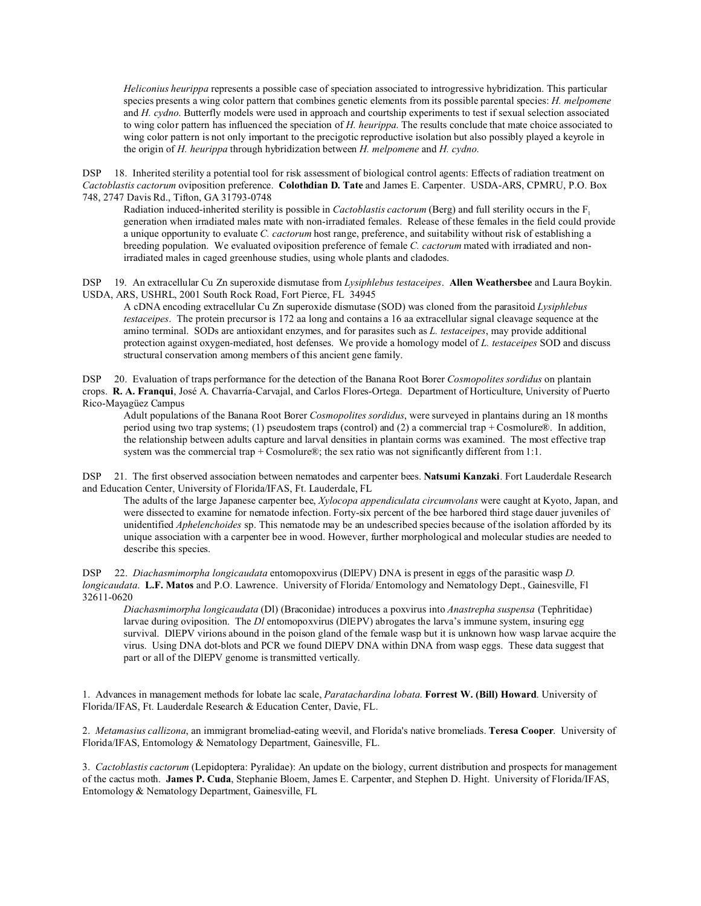*Heliconius heurippa* represents a possible case of speciation associated to introgressive hybridization. This particular species presents a wing color pattern that combines genetic elements from its possible parental species: *H. melpomene* and *H. cydno*. Butterfly models were used in approach and courtship experiments to test if sexual selection associated to wing color pattern has influenced the speciation of *H. heurippa*. The results conclude that mate choice associated to wing color pattern is not only important to the precigotic reproductive isolation but also possibly played a keyrole in the origin of *H. heurippa* through hybridization between *H. melpomene* and *H. cydno*.

DSP 18. Inherited sterility a potential tool for risk assessment of biological control agents: Effects of radiation treatment on *Cactoblastis cactorum* oviposition preference. **Colothdian D. Tate** and James E. Carpenter. USDA-ARS, CPMRU, P.O. Box 748, 2747 Davis Rd., Tifton, GA 31793-0748

Radiation induced-inherited sterility is possible in *Cactoblastis cactorum* (Berg) and full sterility occurs in the F<sub>1</sub> generation when irradiated males mate with non-irradiated females. Release of these females in the field could provide a unique opportunity to evaluate *C. cactorum* host range, preference, and suitability without risk of establishing a breeding population. We evaluated oviposition preference of female *C. cactorum* mated with irradiated and nonirradiated males in caged greenhouse studies, using whole plants and cladodes.

DSP 19. An extracellular Cu Zn superoxide dismutase from *Lysiphlebus testaceipes*. **Allen Weathersbee** and Laura Boykin. USDA, ARS, USHRL, 2001 South Rock Road, Fort Pierce, FL 34945

A cDNA encoding extracellular Cu Zn superoxide dismutase (SOD) was cloned from the parasitoid *Lysiphlebus testaceipes*. The protein precursor is 172 aa long and contains a 16 aa extracellular signal cleavage sequence at the amino terminal. SODs are antioxidant enzymes, and for parasites such as *L. testaceipes*, may provide additional protection against oxygen-mediated, host defenses. We provide a homology model of *L. testaceipes* SOD and discuss structural conservation among members of this ancient gene family.

DSP 20. Evaluation of traps performance for the detection of the Banana Root Borer *Cosmopolites sordidus* on plantain crops. **R. A. Franqui**, José A. Chavarría-Carvajal, and Carlos Flores-Ortega. Department of Horticulture, University of Puerto Rico-Mayagüez Campus

Adult populations of the Banana Root Borer *Cosmopolites sordidus*, were surveyed in plantains during an 18 months period using two trap systems; (1) pseudostem traps (control) and (2) a commercial trap + Cosmolure®. In addition, the relationship between adults capture and larval densities in plantain corms was examined. The most effective trap system was the commercial trap + Cosmolure®; the sex ratio was not significantly different from 1:1.

DSP 21. The first observed association between nematodes and carpenter bees. **Natsumi Kanzaki**. Fort Lauderdale Research and Education Center, University of Florida/IFAS, Ft. Lauderdale, FL

The adults of the large Japanese carpenter bee, *Xylocopa appendiculata circumvolans* were caught at Kyoto, Japan, and were dissected to examine for nematode infection. Forty-six percent of the bee harbored third stage dauer juveniles of unidentified *Aphelenchoides* sp. This nematode may be an undescribed species because of the isolation afforded by its unique association with a carpenter bee in wood. However, further morphological and molecular studies are needed to describe this species.

DSP 22. *Diachasmimorpha longicaudata* entomopoxvirus (DlEPV) DNA is present in eggs of the parasitic wasp *D. longicaudata*. **L.F. Matos** and P.O. Lawrence. University of Florida/ Entomology and Nematology Dept., Gainesville, Fl 32611-0620

*Diachasmimorpha longicaudata* (Dl) (Braconidae) introduces a poxvirus into *Anastrepha suspensa* (Tephritidae) larvae during oviposition. The *Dl* entomopoxvirus (DlEPV) abrogates the larva's immune system, insuring egg survival. DIEPV virions abound in the poison gland of the female wasp but it is unknown how wasp larvae acquire the virus. Using DNA dot-blots and PCR we found DlEPV DNA within DNA from wasp eggs. These data suggest that part or all of the DlEPV genome is transmitted vertically.

1. Advances in management methods for lobate lac scale, *Paratachardina lobata*. **Forrest W. (Bill) Howard**. University of Florida/IFAS, Ft. Lauderdale Research & Education Center, Davie, FL.

2. *Metamasius callizona*, an immigrant bromeliad-eating weevil, and Florida's native bromeliads. **Teresa Cooper**. University of Florida/IFAS, Entomology & Nematology Department, Gainesville, FL.

3. *Cactoblastis cactorum* (Lepidoptera: Pyralidae): An update on the biology, current distribution and prospects for management of the cactus moth. **James P. Cuda**, Stephanie Bloem, James E. Carpenter, and Stephen D. Hight. University of Florida/IFAS, Entomology & Nematology Department, Gainesville, FL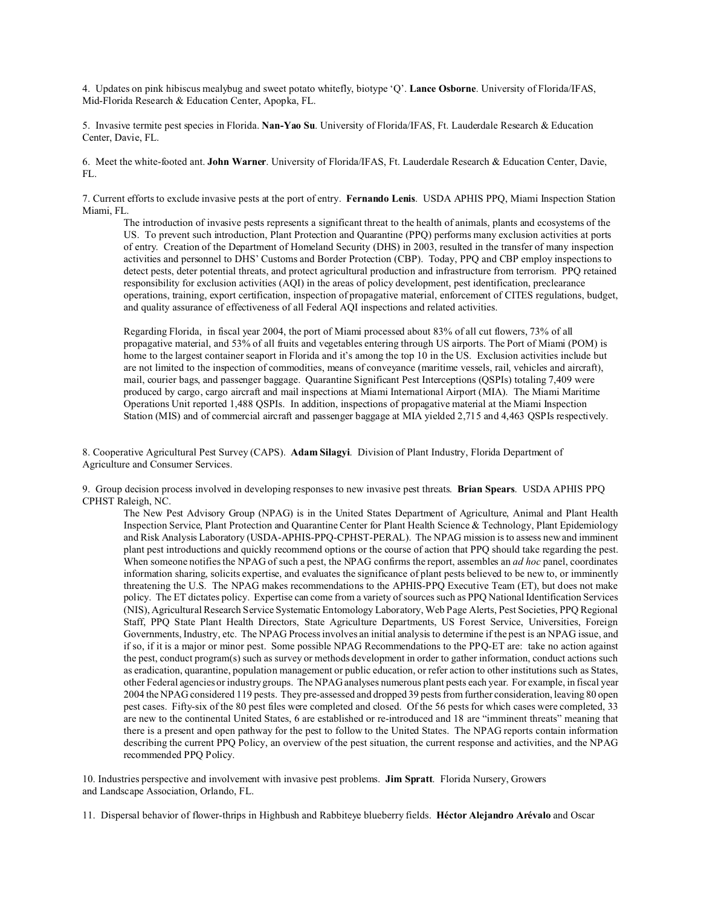4. Updates on pink hibiscus mealybug and sweet potato whitefly, biotype 'Q'. **Lance Osborne**. University of Florida/IFAS, Mid-Florida Research & Education Center, Apopka, FL.

5. Invasive termite pest species in Florida. **Nan-Yao Su**. University of Florida/IFAS, Ft. Lauderdale Research & Education Center, Davie, FL.

6. Meet the white-footed ant. **John Warner**. University of Florida/IFAS, Ft. Lauderdale Research & Education Center, Davie, FL.

7. Current efforts to exclude invasive pests at the port of entry. **Fernando Lenis**. USDA APHIS PPQ, Miami Inspection Station Miami, FL.

The introduction of invasive pests represents a significant threat to the health of animals, plants and ecosystems of the US. To prevent such introduction, Plant Protection and Quarantine (PPQ) performs many exclusion activities at ports of entry. Creation of the Department of Homeland Security (DHS) in 2003, resulted in the transfer of many inspection activities and personnel to DHS' Customs and Border Protection (CBP). Today, PPQ and CBP employ inspections to detect pests, deter potential threats, and protect agricultural production and infrastructure from terrorism. PPQ retained responsibility for exclusion activities (AQI) in the areas of policy development, pest identification, preclearance operations, training, export certification, inspection of propagative material, enforcement of CITES regulations, budget, and quality assurance of effectiveness of all Federal AQI inspections and related activities.

Regarding Florida, in fiscal year 2004, the port of Miami processed about 83% of all cut flowers, 73% of all propagative material, and 53% of all fruits and vegetables entering through US airports. The Port of Miami (POM) is home to the largest container seaport in Florida and it's among the top 10 in the US. Exclusion activities include but are not limited to the inspection of commodities, means of conveyance (maritime vessels, rail, vehicles and aircraft), mail, courier bags, and passenger baggage. Quarantine Significant Pest Interceptions (QSPIs) totaling 7,409 were produced by cargo, cargo aircraft and mail inspections at Miami International Airport (MIA). The Miami Maritime Operations Unit reported 1,488 QSPIs. In addition, inspections of propagative material at the Miami Inspection Station (MIS) and of commercial aircraft and passenger baggage at MIA yielded 2,715 and 4,463 QSPIs respectively.

8. Cooperative Agricultural Pest Survey (CAPS). **Adam Silagyi**. Division of Plant Industry, Florida Department of Agriculture and Consumer Services.

9. Group decision process involved in developing responses to new invasive pest threats. **Brian Spears**. USDA APHIS PPQ CPHST Raleigh, NC.

The New Pest Advisory Group (NPAG) is in the United States Department of Agriculture, Animal and Plant Health Inspection Service, Plant Protection and Quarantine Center for Plant Health Science & Technology, Plant Epidemiology and Risk Analysis Laboratory (USDA-APHIS-PPQ-CPHST-PERAL). The NPAG mission is to assess new and imminent plant pest introductions and quickly recommend options or the course of action that PPQ should take regarding the pest. When someone notifies the NPAG of such a pest, the NPAG confirms the report, assembles an *ad hoc* panel, coordinates information sharing, solicits expertise, and evaluates the significance of plant pests believed to be new to, or imminently threatening the U.S. The NPAG makes recommendations to the APHIS-PPQ Executive Team (ET), but does not make policy. The ET dictates policy. Expertise can come from a variety of sources such as PPQ National Identification Services (NIS), Agricultural Research Service Systematic Entomology Laboratory, Web Page Alerts, Pest Societies, PPQ Regional Staff, PPQ State Plant Health Directors, State Agriculture Departments, US Forest Service, Universities, Foreign Governments, Industry, etc. The NPAG Process involves an initial analysis to determine if the pest is an NPAG issue, and if so, if it is a major or minor pest. Some possible NPAG Recommendations to the PPQ-ET are: take no action against the pest, conduct program(s) such as survey or methods development in order to gather information, conduct actions such as eradication, quarantine, population management or public education, or refer action to other institutions such as States, other Federal agencies or industry groups. The NPAG analyses numerous plant pests each year. For example, in fiscal year 2004 the NPAG considered 119 pests. They pre-assessed and dropped 39 pests from further consideration, leaving 80 open pest cases. Fifty-six of the 80 pest files were completed and closed. Of the 56 pests for which cases were completed, 33 are new to the continental United States, 6 are established or re-introduced and 18 are "imminent threats" meaning that there is a present and open pathway for the pest to follow to the United States. The NPAG reports contain information describing the current PPQ Policy, an overview of the pest situation, the current response and activities, and the NPAG recommended PPQ Policy.

10. Industries perspective and involvement with invasive pest problems. **Jim Spratt**. Florida Nursery, Growers and Landscape Association, Orlando, FL.

11. Dispersal behavior of flower-thrips in Highbush and Rabbiteye blueberry fields. **Héctor Alejandro Arévalo** and Oscar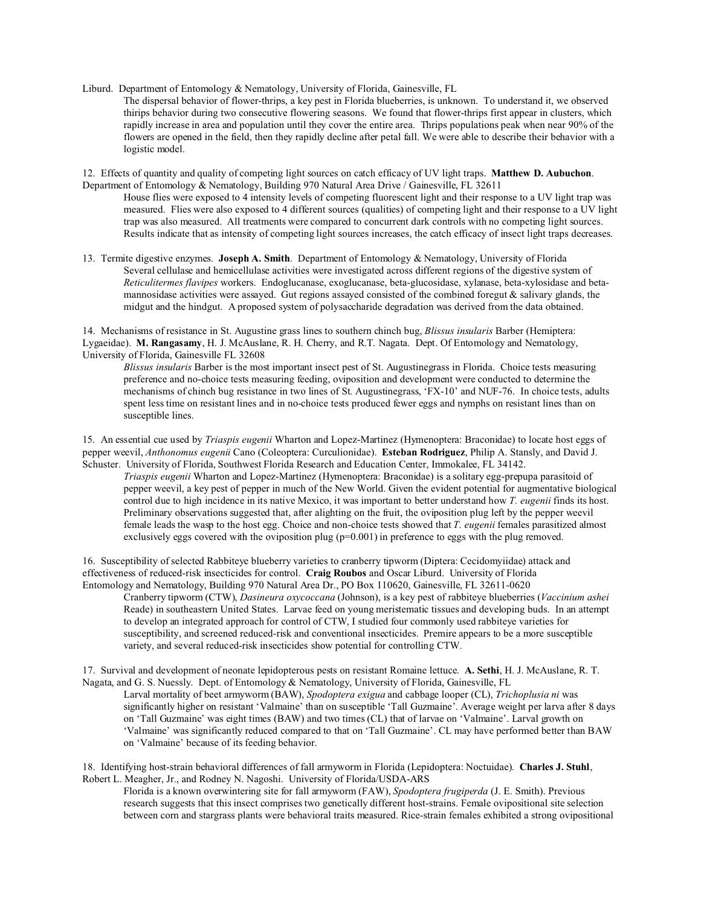- Liburd. Department of Entomology & Nematology, University of Florida, Gainesville, FL
	- The dispersal behavior of flower-thrips, a key pest in Florida blueberries, is unknown. To understand it, we observed thirips behavior during two consecutive flowering seasons. We found that flower-thrips first appear in clusters, which rapidly increase in area and population until they cover the entire area. Thrips populations peak when near 90% of the flowers are opened in the field, then they rapidly decline after petal fall. We were able to describe their behavior with a logistic model.

12. Effects of quantity and quality of competing light sources on catch efficacy of UV light traps. **Matthew D. Aubuchon**. Department of Entomology & Nematology, Building 970 Natural Area Drive / Gainesville, FL 32611

- House flies were exposed to 4 intensity levels of competing fluorescent light and their response to a UV light trap was measured. Flies were also exposed to 4 different sources (qualities) of competing light and their response to a UV light trap was also measured. All treatments were compared to concurrent dark controls with no competing light sources. Results indicate that as intensity of competing light sources increases, the catch efficacy of insect light traps decreases.
- 13. Termite digestive enzymes. **Joseph A. Smith**. Department of Entomology & Nematology, University of Florida Several cellulase and hemicellulase activities were investigated across different regions of the digestive system of *Reticulitermes flavipes* workers. Endoglucanase, exoglucanase, beta-glucosidase, xylanase, beta-xylosidase and betamannosidase activities were assayed. Gut regions assayed consisted of the combined foregut  $\&$  salivary glands, the midgut and the hindgut. A proposed system of polysaccharide degradation was derived from the data obtained.

14. Mechanisms of resistance in St. Augustine grass lines to southern chinch bug, *Blissus insularis* Barber (Hemiptera: Lygaeidae). **M. Rangasamy**, H. J. McAuslane, R. H. Cherry, and R.T. Nagata. Dept. Of Entomology and Nematology, University of Florida, Gainesville FL 32608

*Blissus insularis* Barber is the most important insect pest of St. Augustinegrass in Florida. Choice tests measuring preference and no-choice tests measuring feeding, oviposition and development were conducted to determine the mechanisms of chinch bug resistance in two lines of St. Augustinegrass, 'FX-10' and NUF-76. In choice tests, adults spent less time on resistant lines and in no-choice tests produced fewer eggs and nymphs on resistant lines than on susceptible lines.

15. An essential cue used by *Triaspis eugenii* Wharton and Lopez-Martinez (Hymenoptera: Braconidae) to locate host eggs of pepper weevil, *Anthonomus eugenii* Cano (Coleoptera: Curculionidae). **Esteban Rodriguez**, Philip A. Stansly, and David J. Schuster. University of Florida, Southwest Florida Research and Education Center, Immokalee, FL 34142.

*Triaspis eugenii* Wharton and Lopez-Martinez (Hymenoptera: Braconidae) is a solitary egg-prepupa parasitoid of pepper weevil, a key pest of pepper in much of the New World. Given the evident potential for augmentative biological control due to high incidence in its native Mexico, it was important to better understand how *T. eugenii* finds its host. Preliminary observations suggested that, after alighting on the fruit, the oviposition plug left by the pepper weevil female leads the wasp to the host egg. Choice and non-choice tests showed that *T. eugenii* females parasitized almost exclusively eggs covered with the oviposition plug  $(p=0.001)$  in preference to eggs with the plug removed.

16. Susceptibility of selected Rabbiteye blueberry varieties to cranberry tipworm (Diptera: Cecidomyiidae) attack and effectiveness of reduced-risk insecticides for control. **Craig Roubos** and Oscar Liburd. University of Florida Entomology and Nematology, Building 970 Natural Area Dr., PO Box 110620, Gainesville, FL 32611-0620

Cranberry tipworm (CTW), *Dasineura oxycoccana* (Johnson), is a key pest of rabbiteye blueberries (*Vaccinium ashei* Reade) in southeastern United States. Larvae feed on young meristematic tissues and developing buds. In an attempt to develop an integrated approach for control of CTW, I studied four commonly used rabbiteye varieties for susceptibility, and screened reduced-risk and conventional insecticides. Premire appears to be a more susceptible variety, and several reduced-risk insecticides show potential for controlling CTW.

17. Survival and development of neonate lepidopterous pests on resistant Romaine lettuce. **A. Sethi**, H. J. McAuslane, R. T. Nagata, and G. S. Nuessly. Dept. of Entomology & Nematology, University of Florida, Gainesville, FL

Larval mortality of beet armyworm (BAW), *Spodoptera exigua* and cabbage looper (CL), *Trichoplusia ni* was significantly higher on resistant 'Valmaine' than on susceptible 'Tall Guzmaine'. Average weight per larva after 8 days on 'Tall Guzmaine' was eight times (BAW) and two times (CL) that of larvae on 'Valmaine'. Larval growth on 'Valmaine' was significantly reduced compared to that on 'Tall Guzmaine'. CL may have performed better than BAW on 'Valmaine' because of its feeding behavior.

18. Identifying host-strain behavioral differences of fall armyworm in Florida (Lepidoptera: Noctuidae). **Charles J. Stuhl**, Robert L. Meagher, Jr., and Rodney N. Nagoshi. University of Florida/USDA-ARS

Florida is a known overwintering site for fall armyworm (FAW), *Spodoptera frugiperda* (J. E. Smith). Previous research suggests that this insect comprises two genetically different host-strains. Female ovipositional site selection between corn and stargrass plants were behavioral traits measured. Rice-strain females exhibited a strong ovipositional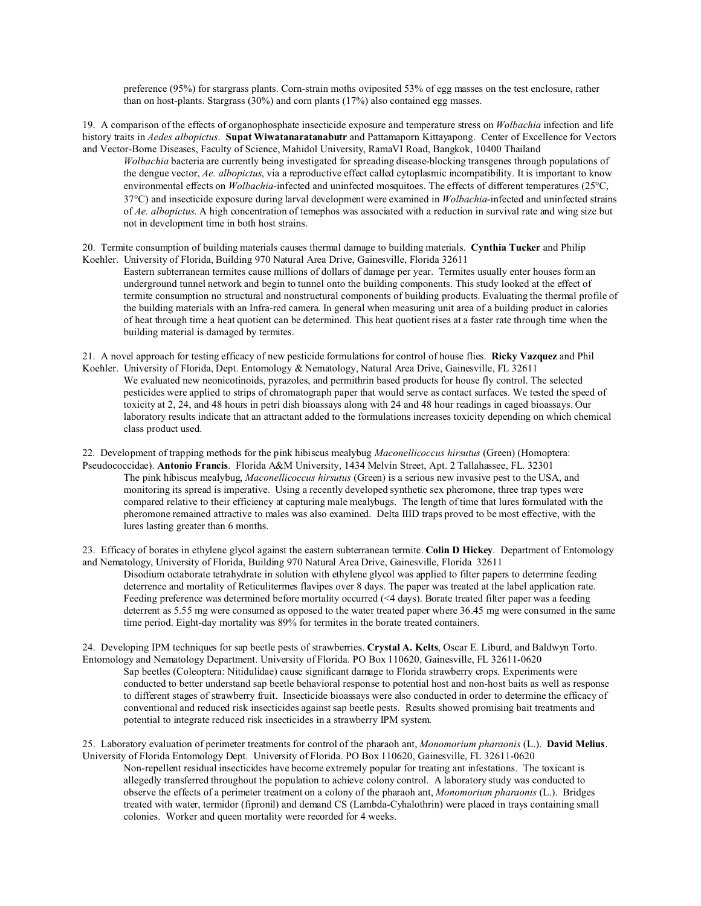preference (95%) for stargrass plants. Corn-strain moths oviposited 53% of egg masses on the test enclosure, rather than on host-plants. Stargrass  $(30%)$  and corn plants  $(17%)$  also contained egg masses.

19. A comparison of the effects of organophosphate insecticide exposure and temperature stress on *Wolbachia* infection and life history traits in *Aedes albopictus*. **Supat Wiwatanaratanabutr** and Pattamaporn Kittayapong. Center of Excellence for Vectors and Vector-Borne Diseases, Faculty of Science, Mahidol University, RamaVI Road, Bangkok, 10400 Thailand

*Wolbachia* bacteria are currently being investigated for spreading disease-blocking transgenes through populations of the dengue vector, *Ae. albopictus*, via a reproductive effect called cytoplasmic incompatibility. It is important to know environmental effects on *Wolbachia*-infected and uninfected mosquitoes. The effects of different temperatures (25 C, 37 C) and insecticide exposure during larval development were examined in *Wolbachia*-infected and uninfected strains of *Ae. albopictus*. A high concentration of temephos was associated with a reduction in survival rate and wing size but not in development time in both host strains.

20. Termite consumption of building materials causes thermal damage to building materials. **Cynthia Tucker** and Philip Koehler. University of Florida, Building 970 Natural Area Drive, Gainesville, Florida 32611

Eastern subterranean termites cause millions of dollars of damage per year. Termites usually enter houses form an underground tunnel network and begin to tunnel onto the building components. This study looked at the effect of termite consumption no structural and nonstructural components of building products. Evaluating the thermal profile of the building materials with an Infra-red camera. In general when measuring unit area of a building product in calories of heat through time a heat quotient can be determined. This heat quotient rises at a faster rate through time when the building material is damaged by termites.

21. A novel approach for testing efficacy of new pesticide formulations for control of house flies. **Ricky Vazquez** and Phil Koehler. University of Florida, Dept. Entomology & Nematology, Natural Area Drive, Gainesville, FL 32611 We evaluated new neonicotinoids, pyrazoles, and permithrin based products for house fly control. The selected pesticides were applied to strips of chromatograph paper that would serve as contact surfaces. We tested the speed of toxicity at 2, 24, and 48 hours in petri dish bioassays along with 24 and 48 hour readings in caged bioassays. Our laboratory results indicate that an attractant added to the formulations increases toxicity depending on which chemical class product used.

22. Development of trapping methods for the pink hibiscus mealybug *Maconellicoccus hirsutus* (Green) (Homoptera: Pseudococcidae). **Antonio Francis**. Florida A&M University, 1434 Melvin Street, Apt. 2 Tallahassee, FL. 32301 The pink hibiscus mealybug, *Maconellicoccus hirsutus* (Green) is a serious new invasive pest to the USA, and monitoring its spread is imperative. Using a recently developed synthetic sex pheromone, three trap types were compared relative to their efficiency at capturing male mealybugs. The length of time that lures formulated with the pheromone remained attractive to males was also examined. Delta IIID traps proved to be most effective, with the lures lasting greater than 6 months.

23. Efficacy of borates in ethylene glycol against the eastern subterranean termite. **Colin D Hickey**. Department of Entomology and Nematology, University of Florida, Building 970 Natural Area Drive, Gainesville, Florida 32611

Disodium octaborate tetrahydrate in solution with ethylene glycol was applied to filter papers to determine feeding deterrence and mortality of Reticulitermes flavipes over 8 days. The paper was treated at the label application rate. Feeding preference was determined before mortality occurred (<4 days). Borate treated filter paper was a feeding deterrent as 5.55 mg were consumed as opposed to the water treated paper where 36.45 mg were consumed in the same time period. Eight-day mortality was 89% for termites in the borate treated containers.

24. Developing IPM techniques for sap beetle pests of strawberries. **Crystal A. Kelts**, Oscar E. Liburd, and Baldwyn Torto. Entomology and Nematology Department. University of Florida. PO Box 110620, Gainesville, FL 32611-0620

Sap beetles (Coleoptera: Nitidulidae) cause significant damage to Florida strawberry crops. Experiments were conducted to better understand sap beetle behavioral response to potential host and non-host baits as well as response to different stages of strawberry fruit. Insecticide bioassays were also conducted in order to determine the efficacy of conventional and reduced risk insecticides against sap beetle pests. Results showed promising bait treatments and potential to integrate reduced risk insecticides in a strawberry IPM system.

25. Laboratory evaluation of perimeter treatments for control of the pharaoh ant, *Monomorium pharaonis* (L.). **David Melius**. University of Florida Entomology Dept. University of Florida. PO Box 110620, Gainesville, FL 32611-0620

Non-repellent residual insecticides have become extremely popular for treating ant infestations. The toxicant is allegedly transferred throughout the population to achieve colony control. A laboratory study was conducted to observe the effects of a perimeter treatment on a colony of the pharaoh ant, *Monomorium pharaonis* (L.). Bridges treated with water, termidor (fipronil) and demand CS (Lambda-Cyhalothrin) were placed in trays containing small colonies. Worker and queen mortality were recorded for 4 weeks.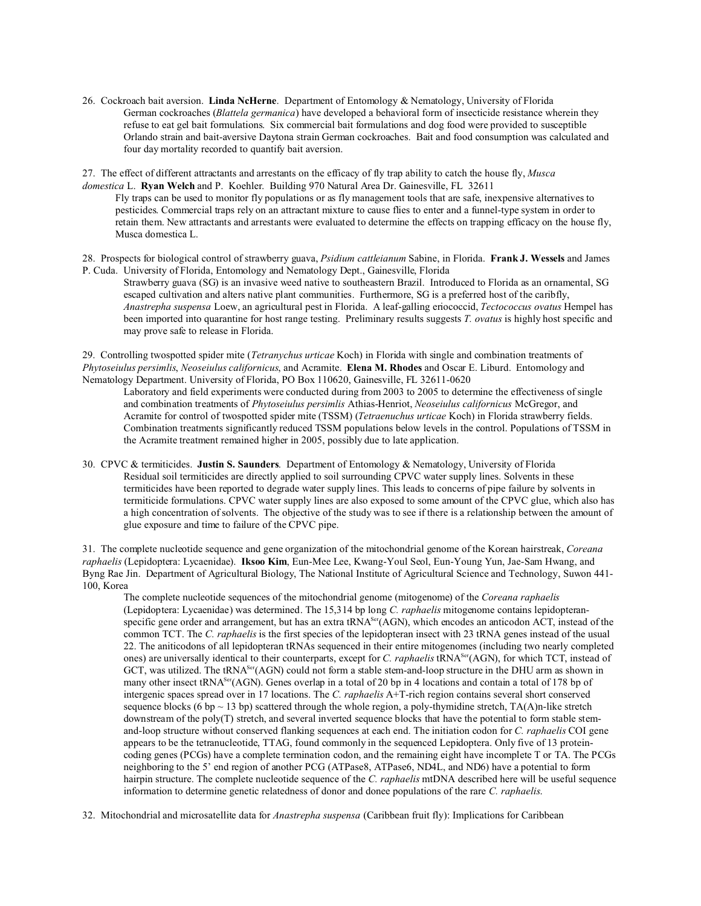26. Cockroach bait aversion. **Linda NcHerne**. Department of Entomology & Nematology, University of Florida German cockroaches (*Blattela germanica*) have developed a behavioral form of insecticide resistance wherein they refuse to eat gel bait formulations. Six commercial bait formulations and dog food were provided to susceptible Orlando strain and bait-aversive Daytona strain German cockroaches. Bait and food consumption was calculated and four day mortality recorded to quantify bait aversion.

27. The effect of different attractants and arrestants on the efficacy of fly trap ability to catch the house fly, *Musca domestica* L. **Ryan Welch** and P. Koehler. Building 970 Natural Area Dr. Gainesville, FL 32611

Fly traps can be used to monitor fly populations or as fly management tools that are safe, inexpensive alternatives to pesticides. Commercial traps rely on an attractant mixture to cause flies to enter and a funnel-type system in order to retain them. New attractants and arrestants were evaluated to determine the effects on trapping efficacy on the house fly, Musca domestica L.

28. Prospects for biological control of strawberry guava, *Psidium cattleianum* Sabine, in Florida. **Frank J. Wessels** and James P. Cuda. University of Florida, Entomology and Nematology Dept., Gainesville, Florida

Strawberry guava (SG) is an invasive weed native to southeastern Brazil. Introduced to Florida as an ornamental, SG escaped cultivation and alters native plant communities. Furthermore, SG is a preferred host of the caribfly, *Anastrepha suspensa* Loew, an agricultural pest in Florida. A leaf-galling eriococcid, *Tectococcus ovatus* Hempel has been imported into quarantine for host range testing. Preliminary results suggests *T. ovatus* is highly host specific and may prove safe to release in Florida.

29. Controlling twospotted spider mite (*Tetranychus urticae* Koch) in Florida with single and combination treatments of *Phytoseiulus persimlis*, *Neoseiulus californicus*, and Acramite. **Elena M. Rhodes** and Oscar E. Liburd. Entomology and Nematology Department. University of Florida, PO Box 110620, Gainesville, FL 32611-0620

Laboratory and field experiments were conducted during from 2003 to 2005 to determine the effectiveness of single and combination treatments of *Phytoseiulus persimlis* Athias-Henriot, *Neoseiulus californicus* McGregor, and Acramite for control of twospotted spider mite (TSSM) (*Tetraenuchus urticae* Koch) in Florida strawberry fields. Combination treatments significantly reduced TSSM populations below levels in the control. Populations of TSSM in the Acramite treatment remained higher in 2005, possibly due to late application.

30. CPVC & termiticides. **Justin S. Saunders**. Department of Entomology & Nematology, University of Florida Residual soil termiticides are directly applied to soil surrounding CPVC water supply lines. Solvents in these termiticides have been reported to degrade water supply lines. This leads to concerns of pipe failure by solvents in termiticide formulations. CPVC water supply lines are also exposed to some amount of the CPVC glue, which also has a high concentration of solvents. The objective of the study was to see if there is a relationship between the amount of glue exposure and time to failure of the CPVC pipe.

31. The complete nucleotide sequence and gene organization of the mitochondrial genome of the Korean hairstreak, *Coreana raphaelis* (Lepidoptera: Lycaenidae). **Iksoo Kim**, Eun-Mee Lee, Kwang-Youl Seol, Eun-Young Yun, Jae-Sam Hwang, and Byng Rae Jin. Department of Agricultural Biology, The National Institute of Agricultural Science and Technology, Suwon 441- 100, Korea

The complete nucleotide sequences of the mitochondrial genome (mitogenome) of the *Coreana raphaelis* (Lepidoptera: Lycaenidae) was determined. The 15,314 bp long *C. raphaelis* mitogenome contains lepidopteranspecific gene order and arrangement, but has an extra tRNA<sup>Ser</sup>(AGN), which encodes an anticodon ACT, instead of the common TCT. The *C. raphaelis* is the first species of the lepidopteran insect with 23 tRNA genes instead of the usual 22. The aniticodons of all lepidopteran tRNAs sequenced in their entire mitogenomes (including two nearly completed ones) are universally identical to their counterparts, except for *C. raphaelis* tRNASer(AGN), for which TCT, instead of GCT, was utilized. The tRNA<sup>Ser</sup>(AGN) could not form a stable stem-and-loop structure in the DHU arm as shown in many other insect tRNA<sup>Ser</sup>(AGN). Genes overlap in a total of 20 bp in 4 locations and contain a total of 178 bp of intergenic spaces spread over in 17 locations. The *C. raphaelis* A+T-rich region contains several short conserved sequence blocks (6 bp  $\sim$  13 bp) scattered through the whole region, a poly-thymidine stretch, TA(A)n-like stretch downstream of the poly(T) stretch, and several inverted sequence blocks that have the potential to form stable stemand-loop structure without conserved flanking sequences at each end. The initiation codon for *C. raphaelis* COI gene appears to be the tetranucleotide, TTAG, found commonly in the sequenced Lepidoptera. Only five of 13 proteincoding genes (PCGs) have a complete termination codon, and the remaining eight have incomplete T or TA. The PCGs neighboring to the 5' end region of another PCG (ATPase8, ATPase6, ND4L, and ND6) have a potential to form hairpin structure. The complete nucleotide sequence of the *C. raphaelis* mtDNA described here will be useful sequence information to determine genetic relatedness of donor and donee populations of the rare *C. raphaelis*.

32. Mitochondrial and microsatellite data for *Anastrepha suspensa* (Caribbean fruit fly): Implications for Caribbean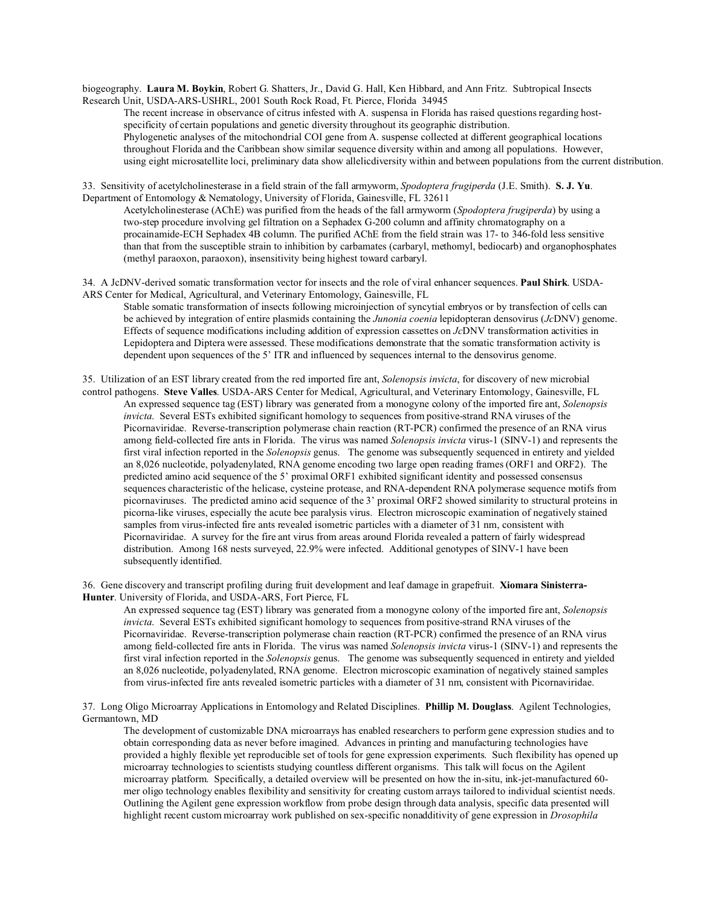biogeography. **Laura M. Boykin**, Robert G. Shatters, Jr., David G. Hall, Ken Hibbard, and Ann Fritz. Subtropical Insects Research Unit, USDA-ARS-USHRL, 2001 South Rock Road, Ft. Pierce, Florida 34945

The recent increase in observance of citrus infested with A. suspensa in Florida has raised questions regarding hostspecificity of certain populations and genetic diversity throughout its geographic distribution. Phylogenetic analyses of the mitochondrial COI gene from A. suspense collected at different geographical locations throughout Florida and the Caribbean show similar sequence diversity within and among all populations. However, using eight microsatellite loci, preliminary data show allelicdiversity within and between populations from the current distribution.

33. Sensitivity of acetylcholinesterase in a field strain of the fall armyworm, *Spodoptera frugiperda* (J.E. Smith). **S. J. Yu**. Department of Entomology & Nematology, University of Florida, Gainesville, FL 32611

Acetylcholinesterase (AChE) was purified from the heads of the fall armyworm (*Spodoptera frugiperda*) by using a two-step procedure involving gel filtration on a Sephadex G-200 column and affinity chromatography on a procainamide-ECH Sephadex 4B column. The purified AChE from the field strain was 17- to 346-fold less sensitive than that from the susceptible strain to inhibition by carbamates (carbaryl, methomyl, bediocarb) and organophosphates (methyl paraoxon, paraoxon), insensitivity being highest toward carbaryl.

34. A JcDNV-derived somatic transformation vector for insects and the role of viral enhancer sequences. **Paul Shirk**. USDA-ARS Center for Medical, Agricultural, and Veterinary Entomology, Gainesville, FL

Stable somatic transformation of insects following microinjection of syncytial embryos or by transfection of cells can be achieved by integration of entire plasmids containing the *Junonia coenia* lepidopteran densovirus (*Jc*DNV) genome. Effects of sequence modifications including addition of expression cassettes on *Jc*DNV transformation activities in Lepidoptera and Diptera were assessed. These modifications demonstrate that the somatic transformation activity is dependent upon sequences of the 5' ITR and influenced by sequences internal to the densovirus genome.

35. Utilization of an EST library created from the red imported fire ant, *Solenopsis invicta*, for discovery of new microbial control pathogens. **Steve Valles**. USDA-ARS Center for Medical, Agricultural, and Veterinary Entomology, Gainesville, FL

An expressed sequence tag (EST) library was generated from a monogyne colony of the imported fire ant, *Solenopsis invicta*. Several ESTs exhibited significant homology to sequences from positive-strand RNA viruses of the Picornaviridae. Reverse-transcription polymerase chain reaction (RT-PCR) confirmed the presence of an RNA virus among field-collected fire ants in Florida. The virus was named *Solenopsis invicta* virus-1 (SINV-1) and represents the first viral infection reported in the *Solenopsis* genus. The genome was subsequently sequenced in entirety and yielded an 8,026 nucleotide, polyadenylated, RNA genome encoding two large open reading frames (ORF1 and ORF2). The predicted amino acid sequence of the 5' proximal ORF1 exhibited significant identity and possessed consensus sequences characteristic of the helicase, cysteine protease, and RNA-dependent RNA polymerase sequence motifs from picornaviruses. The predicted amino acid sequence of the 3' proximal ORF2 showed similarity to structural proteins in picorna-like viruses, especially the acute bee paralysis virus. Electron microscopic examination of negatively stained samples from virus-infected fire ants revealed isometric particles with a diameter of 31 nm, consistent with Picornaviridae. A survey for the fire ant virus from areas around Florida revealed a pattern of fairly widespread distribution. Among 168 nests surveyed, 22.9% were infected. Additional genotypes of SINV-1 have been subsequently identified.

36. Gene discovery and transcript profiling during fruit development and leaf damage in grapefruit. **Xiomara Sinisterra-Hunter**. University of Florida, and USDA-ARS, Fort Pierce, FL

An expressed sequence tag (EST) library was generated from a monogyne colony of the imported fire ant, *Solenopsis invicta*. Several ESTs exhibited significant homology to sequences from positive-strand RNA viruses of the Picornaviridae. Reverse-transcription polymerase chain reaction (RT-PCR) confirmed the presence of an RNA virus among field-collected fire ants in Florida. The virus was named *Solenopsis invicta* virus-1 (SINV-1) and represents the first viral infection reported in the *Solenopsis* genus. The genome was subsequently sequenced in entirety and yielded an 8,026 nucleotide, polyadenylated, RNA genome. Electron microscopic examination of negatively stained samples from virus-infected fire ants revealed isometric particles with a diameter of 31 nm, consistent with Picornaviridae.

37. Long Oligo Microarray Applications in Entomology and Related Disciplines. **Phillip M. Douglass**. Agilent Technologies, Germantown, MD

The development of customizable DNA microarrays has enabled researchers to perform gene expression studies and to obtain corresponding data as never before imagined. Advances in printing and manufacturing technologies have provided a highly flexible yet reproducible set of tools for gene expression experiments. Such flexibility has opened up microarray technologies to scientists studying countless different organisms. This talk will focus on the Agilent microarray platform. Specifically, a detailed overview will be presented on how the in-situ, ink-jet-manufactured 60 mer oligo technology enables flexibility and sensitivity for creating custom arrays tailored to individual scientist needs. Outlining the Agilent gene expression workflow from probe design through data analysis, specific data presented will highlight recent custom microarray work published on sex-specific nonadditivity of gene expression in *Drosophila*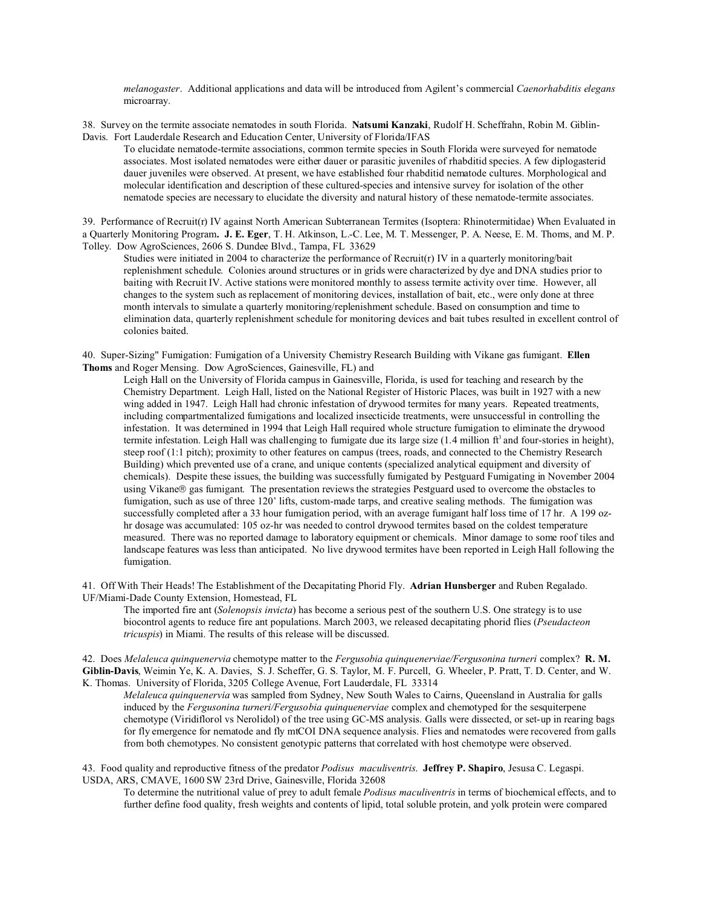*melanogaster*. Additional applications and data will be introduced from Agilent's commercial *Caenorhabditis elegans* microarray.

38. Survey on the termite associate nematodes in south Florida. **Natsumi Kanzaki**, Rudolf H. Scheffrahn, Robin M. Giblin-Davis. Fort Lauderdale Research and Education Center, University of Florida/IFAS

To elucidate nematode-termite associations, common termite species in South Florida were surveyed for nematode associates. Most isolated nematodes were either dauer or parasitic juveniles of rhabditid species. A few diplogasterid dauer juveniles were observed. At present, we have established four rhabditid nematode cultures. Morphological and molecular identification and description of these cultured-species and intensive survey for isolation of the other nematode species are necessary to elucidate the diversity and natural history of these nematode-termite associates.

39. Performance of Recruit(r) IV against North American Subterranean Termites (Isoptera: Rhinotermitidae) When Evaluated in a Quarterly Monitoring Program**. J. E. Eger**, T. H. Atkinson, L.-C. Lee, M. T. Messenger, P. A. Neese, E. M. Thoms, and M. P. Tolley. Dow AgroSciences, 2606 S. Dundee Blvd., Tampa, FL 33629

Studies were initiated in 2004 to characterize the performance of Recruit(r) IV in a quarterly monitoring/bait replenishment schedule. Colonies around structures or in grids were characterized by dye and DNA studies prior to baiting with Recruit IV. Active stations were monitored monthly to assess termite activity over time. However, all changes to the system such as replacement of monitoring devices, installation of bait, etc., were only done at three month intervals to simulate a quarterly monitoring/replenishment schedule. Based on consumption and time to elimination data, quarterly replenishment schedule for monitoring devices and bait tubes resulted in excellent control of colonies baited.

40. Super-Sizing" Fumigation: Fumigation of a University Chemistry Research Building with Vikane gas fumigant. **Ellen Thoms** and Roger Mensing. Dow AgroSciences, Gainesville, FL) and

Leigh Hall on the University of Florida campus in Gainesville, Florida, is used for teaching and research by the Chemistry Department. Leigh Hall, listed on the National Register of Historic Places, was built in 1927 with a new wing added in 1947. Leigh Hall had chronic infestation of drywood termites for many years. Repeated treatments, including compartmentalized fumigations and localized insecticide treatments, were unsuccessful in controlling the infestation. It was determined in 1994 that Leigh Hall required whole structure fumigation to eliminate the drywood termite infestation. Leigh Hall was challenging to fumigate due its large size  $(1.4$  million  $ft<sup>3</sup>$  and four-stories in height), steep roof (1:1 pitch); proximity to other features on campus (trees, roads, and connected to the Chemistry Research Building) which prevented use of a crane, and unique contents (specialized analytical equipment and diversity of chemicals). Despite these issues, the building was successfully fumigated by Pestguard Fumigating in November 2004 using Vikane gas fumigant. The presentation reviews the strategies Pestguard used to overcome the obstacles to fumigation, such as use of three 120' lifts, custom-made tarps, and creative sealing methods. The fumigation was successfully completed after a 33 hour fumigation period, with an average fumigant half loss time of 17 hr. A 199 ozhr dosage was accumulated: 105 oz-hr was needed to control drywood termites based on the coldest temperature measured. There was no reported damage to laboratory equipment or chemicals. Minor damage to some roof tiles and landscape features was less than anticipated. No live drywood termites have been reported in Leigh Hall following the fumigation.

41. Off With Their Heads! The Establishment of the Decapitating Phorid Fly. **Adrian Hunsberger** and Ruben Regalado. UF/Miami-Dade County Extension, Homestead, FL

The imported fire ant (*Solenopsis invicta*) has become a serious pest of the southern U.S. One strategy is to use biocontrol agents to reduce fire ant populations. March 2003, we released decapitating phorid flies (*Pseudacteon tricuspis*) in Miami. The results of this release will be discussed.

42. Does *Melaleuca quinquenervia* chemotype matter to the *Fergusobia quinquenerviae/Fergusonina turneri* complex? **R. M. Giblin-Davis**, Weimin Ye, K. A. Davies, S. J. Scheffer, G. S. Taylor, M. F. Purcell, G. Wheeler, P. Pratt, T. D. Center, and W. K. Thomas. University of Florida, 3205 College Avenue, Fort Lauderdale, FL 33314

*Melaleuca quinquenervia* was sampled from Sydney, New South Wales to Cairns, Queensland in Australia for galls induced by the *Fergusonina turneri/Fergusobia quinquenerviae* complex and chemotyped for the sesquiterpene chemotype (Viridiflorol vs Nerolidol) of the tree using GC-MS analysis. Galls were dissected, or set-up in rearing bags for fly emergence for nematode and fly mtCOI DNA sequence analysis. Flies and nematodes were recovered from galls from both chemotypes. No consistent genotypic patterns that correlated with host chemotype were observed.

43. Food quality and reproductive fitness of the predator *Podisus maculiventris*. **Jeffrey P. Shapiro**, Jesusa C. Legaspi. USDA, ARS, CMAVE, 1600 SW 23rd Drive, Gainesville, Florida 32608

To determine the nutritional value of prey to adult female *Podisus maculiventris* in terms of biochemical effects, and to further define food quality, fresh weights and contents of lipid, total soluble protein, and yolk protein were compared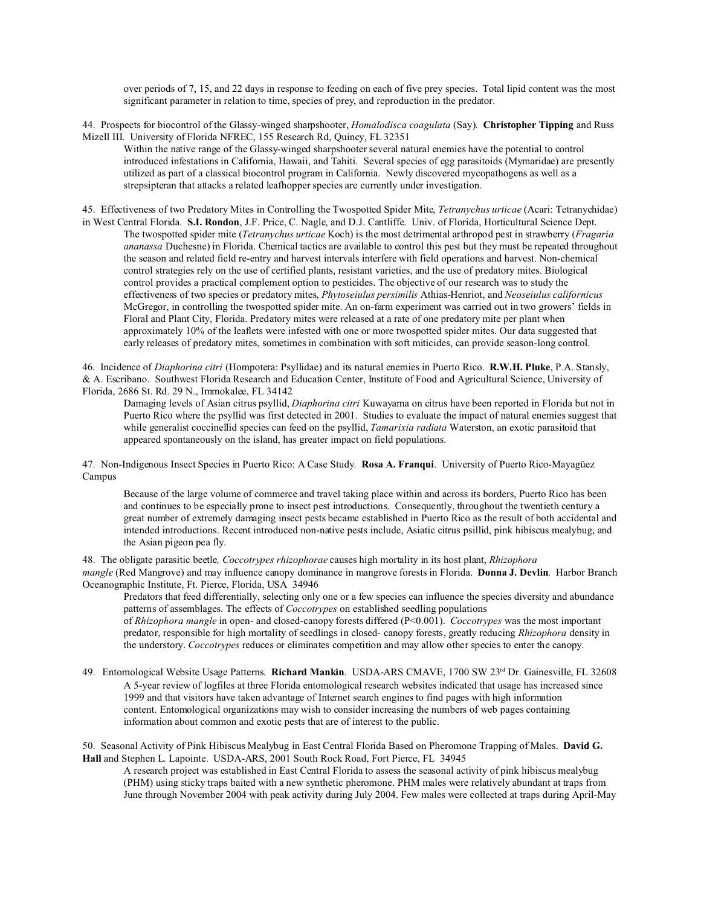over periods of 7, 15, and 22 days in response to feeding on each of five prey species. Total lipid content was the most significant parameter in relation to time, species of prey, and reproduction in the predator.

44. Prospects for biocontrol of the Glassy-winged sharpshooter, *Homalodisca coagulata* (Say). **Christopher Tipping** and Russ Mizell III. University of Florida NFREC, 155 Research Rd, Quincy, FL 32351

Within the native range of the Glassy-winged sharpshooter several natural enemies have the potential to control introduced infestations in California, Hawaii, and Tahiti. Several species of egg parasitoids (Mymaridae) are presently utilized as part of a classical biocontrol program in California. Newly discovered mycopathogens as well as a strepsipteran that attacks a related leafhopper species are currently under investigation.

45. Effectiveness of two Predatory Mites in Controlling the Twospotted Spider Mite, *Tetranychus urticae* (Acari: Tetranychidae) in West Central Florida. **S.I. Rondon**, J.F. Price, C. Nagle, and D.J. Cantliffe. Univ. of Florida, Horticultural Science Dept. The twospotted spider mite (*Tetranychus urticae* Koch) is the most detrimental arthropod pest in strawberry (*Fragaria ananassa* Duchesne) in Florida. Chemical tactics are available to control this pest but they must be repeated throughout the season and related field re-entry and harvest intervals interfere with field operations and harvest. Non-chemical control strategies rely on the use of certified plants, resistant varieties, and the use of predatory mites. Biological control provides a practical complement option to pesticides. The objective of our research was to study the effectiveness of two species or predatory mites, *Phytoseiulus persimilis* Athias-Henriot, and *Neoseiulus californicus* McGregor, in controlling the twospotted spider mite. An on-farm experiment was carried out in two growers' fields in Floral and Plant City, Florida. Predatory mites were released at a rate of one predatory mite per plant when approximately 10% of the leaflets were infested with one or more twospotted spider mites. Our data suggested that early releases of predatory mites, sometimes in combination with soft miticides, can provide season-long control.

46. Incidence of *Diaphorina citri* (Hompotera: Psyllidae) and its natural enemies in Puerto Rico. **R.W.H. Pluke**, P.A. Stansly, & A. Escribano. Southwest Florida Research and Education Center, Institute of Food and Agricultural Science, University of Florida, 2686 St. Rd. 29 N., Immokalee, FL 34142

Damaging levels of Asian citrus psyllid, *Diaphorina citri* Kuwayama on citrus have been reported in Florida but not in Puerto Rico where the psyllid was first detected in 2001. Studies to evaluate the impact of natural enemies suggest that while generalist coccinellid species can feed on the psyllid, *Tamarixia radiata* Waterston, an exotic parasitoid that appeared spontaneously on the island, has greater impact on field populations.

47. Non-Indigenous Insect Species in Puerto Rico: A Case Study. **Rosa A. Franqui**. University of Puerto Rico-Mayagüez Campus

Because of the large volume of commerce and travel taking place within and across its borders, Puerto Rico has been and continues to be especially prone to insect pest introductions. Consequently, throughout the twentieth century a great number of extremely damaging insect pests became established in Puerto Rico as the result of both accidental and intended introductions. Recent introduced non-native pests include, Asiatic citrus psillid, pink hibiscus mealybug, and the Asian pigeon pea fly.

48. The obligate parasitic beetle*, Coccotrypes rhizophorae* causes high mortality in its host plant, *Rhizophora mangle* (Red Mangrove) and may influence canopy dominance in mangrove forests in Florida. **Donna J. Devlin**. Harbor Branch Oceanographic Institute, Ft. Pierce, Florida, USA 34946

Predators that feed differentially, selecting only one or a few species can influence the species diversity and abundance patterns of assemblages. The effects of *Coccotrypes* on established seedling populations

of *Rhizophora mangle* in open- and closed-canopy forests differed (P<0.001). *Coccotrypes* was the most important predator, responsible for high mortality of seedlings in closed- canopy forests, greatly reducing *Rhizophora* density in the understory. *Coccotrypes* reduces or eliminates competition and may allow other species to enter the canopy.

49. Entomological Website Usage Patterns. **Richard Mankin**. USDA-ARS CMAVE, 1700 SW 23rd Dr. Gainesville, FL 32608 A 5-year review of logfiles at three Florida entomological research websites indicated that usage has increased since 1999 and that visitors have taken advantage of Internet search engines to find pages with high information content. Entomological organizations may wish to consider increasing the numbers of web pages containing information about common and exotic pests that are of interest to the public.

50. Seasonal Activity of Pink Hibiscus Mealybug in East Central Florida Based on Pheromone Trapping of Males. **David G. Hall** and Stephen L. Lapointe. USDA-ARS, 2001 South Rock Road, Fort Pierce, FL 34945

A research project was established in East Central Florida to assess the seasonal activity of pink hibiscus mealybug (PHM) using sticky traps baited with a new synthetic pheromone. PHM males were relatively abundant at traps from June through November 2004 with peak activity during July 2004. Few males were collected at traps during April-May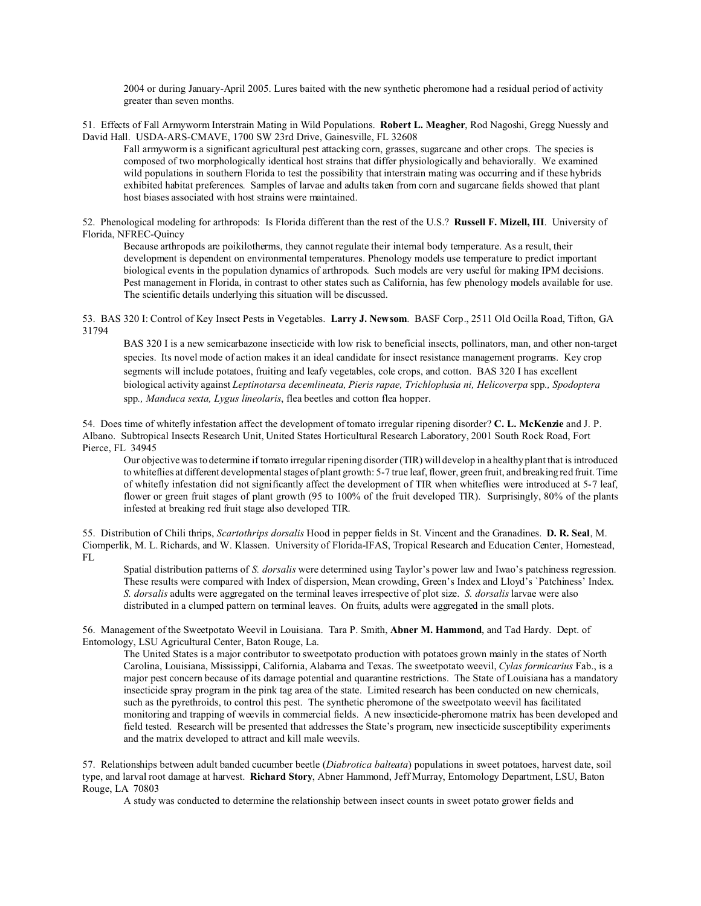2004 or during January-April 2005. Lures baited with the new synthetic pheromone had a residual period of activity greater than seven months.

51. Effects of Fall Armyworm Interstrain Mating in Wild Populations. **Robert L. Meagher**, Rod Nagoshi, Gregg Nuessly and David Hall. USDA-ARS-CMAVE, 1700 SW 23rd Drive, Gainesville, FL 32608

Fall armyworm is a significant agricultural pest attacking corn, grasses, sugarcane and other crops. The species is composed of two morphologically identical host strains that differ physiologically and behaviorally. We examined wild populations in southern Florida to test the possibility that interstrain mating was occurring and if these hybrids exhibited habitat preferences. Samples of larvae and adults taken from corn and sugarcane fields showed that plant host biases associated with host strains were maintained.

52. Phenological modeling for arthropods: Is Florida different than the rest of the U.S.? **Russell F. Mizell, III**. University of Florida, NFREC-Quincy

Because arthropods are poikilotherms, they cannot regulate their internal body temperature. As a result, their development is dependent on environmental temperatures. Phenology models use temperature to predict important biological events in the population dynamics of arthropods. Such models are very useful for making IPM decisions. Pest management in Florida, in contrast to other states such as California, has few phenology models available for use. The scientific details underlying this situation will be discussed.

53. BAS 320 I: Control of Key Insect Pests in Vegetables. **Larry J. Newsom**. BASF Corp., 2511 Old Ocilla Road, Tifton, GA 31794

BAS 320 I is a new semicarbazone insecticide with low risk to beneficial insects, pollinators, man, and other non-target species. Its novel mode of action makes it an ideal candidate for insect resistance management programs. Key crop segments will include potatoes, fruiting and leafy vegetables, cole crops, and cotton. BAS 320 I has excellent biological activity against *Leptinotarsa decemlineata, Pieris rapae, Trichloplusia ni, Helicoverpa* spp*., Spodoptera* spp*., Manduca sexta, Lygus lineolaris*, flea beetles and cotton flea hopper.

54. Does time of whitefly infestation affect the development of tomato irregular ripening disorder? **C. L. McKenzie** and J. P. Albano. Subtropical Insects Research Unit, United States Horticultural Research Laboratory, 2001 South Rock Road, Fort Pierce, FL 34945

Our objective was to determine if tomato irregular ripening disorder (TIR) will develop in a healthy plant that is introduced to whiteflies at different developmental stages of plant growth: 5-7 true leaf, flower, green fruit, and breaking red fruit. Time of whitefly infestation did not significantly affect the development of TIR when whiteflies were introduced at 5-7 leaf, flower or green fruit stages of plant growth (95 to 100% of the fruit developed TIR). Surprisingly, 80% of the plants infested at breaking red fruit stage also developed TIR.

55. Distribution of Chili thrips, *Scartothrips dorsalis* Hood in pepper fields in St. Vincent and the Granadines. **D. R. Seal**, M. Ciomperlik, M. L. Richards, and W. Klassen. University of Florida-IFAS, Tropical Research and Education Center, Homestead, FL

Spatial distribution patterns of *S. dorsalis* were determined using Taylor's power law and Iwao's patchiness regression. These results were compared with Index of dispersion, Mean crowding, Green's Index and Lloyd's `Patchiness' Index. *S. dorsalis* adults were aggregated on the terminal leaves irrespective of plot size. *S. dorsalis* larvae were also distributed in a clumped pattern on terminal leaves. On fruits, adults were aggregated in the small plots.

56. Management of the Sweetpotato Weevil in Louisiana. Tara P. Smith, **Abner M. Hammond**, and Tad Hardy. Dept. of Entomology, LSU Agricultural Center, Baton Rouge, La.

The United States is a major contributor to sweetpotato production with potatoes grown mainly in the states of North Carolina, Louisiana, Mississippi, California, Alabama and Texas. The sweetpotato weevil, *Cylas formicarius* Fab., is a major pest concern because of its damage potential and quarantine restrictions. The State of Louisiana has a mandatory insecticide spray program in the pink tag area of the state. Limited research has been conducted on new chemicals, such as the pyrethroids, to control this pest. The synthetic pheromone of the sweetpotato weevil has facilitated monitoring and trapping of weevils in commercial fields. A new insecticide-pheromone matrix has been developed and field tested. Research will be presented that addresses the State's program, new insecticide susceptibility experiments and the matrix developed to attract and kill male weevils.

57. Relationships between adult banded cucumber beetle (*Diabrotica balteata*) populations in sweet potatoes, harvest date, soil type, and larval root damage at harvest. **Richard Story**, Abner Hammond, Jeff Murray, Entomology Department, LSU, Baton Rouge, LA 70803

A study was conducted to determine the relationship between insect counts in sweet potato grower fields and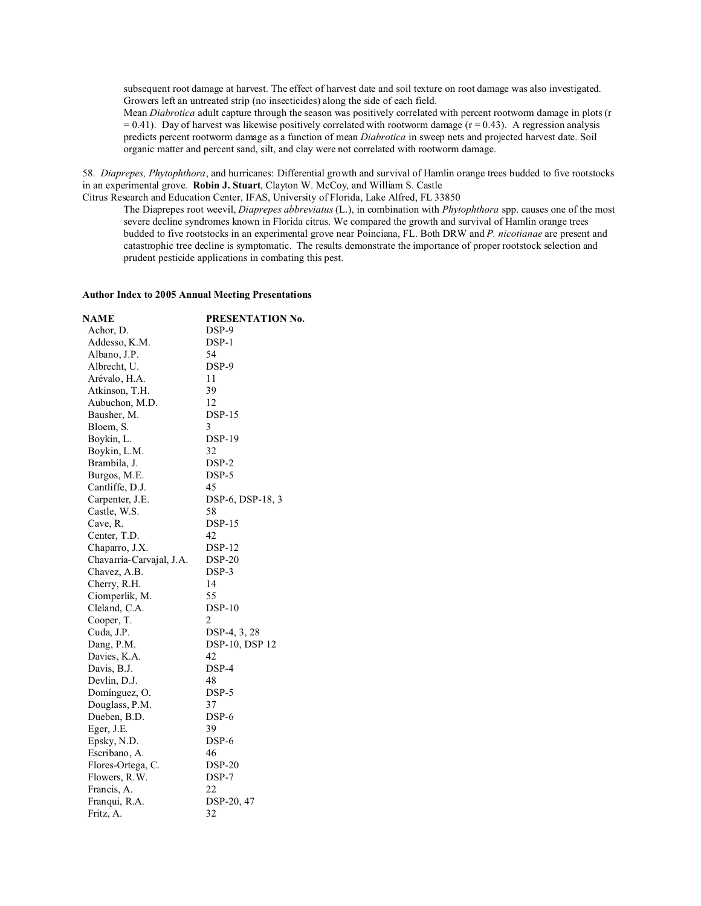subsequent root damage at harvest. The effect of harvest date and soil texture on root damage was also investigated. Growers left an untreated strip (no insecticides) along the side of each field.

Mean *Diabrotica* adult capture through the season was positively correlated with percent rootworm damage in plots (r  $= 0.41$ ). Day of harvest was likewise positively correlated with rootworm damage ( $r = 0.43$ ). A regression analysis predicts percent rootworm damage as a function of mean *Diabrotica* in sweep nets and projected harvest date. Soil organic matter and percent sand, silt, and clay were not correlated with rootworm damage.

58. *Diaprepes, Phytophthora*, and hurricanes: Differential growth and survival of Hamlin orange trees budded to five rootstocks in an experimental grove. **Robin J. Stuart**, Clayton W. McCoy, and William S. Castle

Citrus Research and Education Center, IFAS, University of Florida, Lake Alfred, FL 33850

The Diaprepes root weevil, *Diaprepes abbreviatus* (L.), in combination with *Phytophthora* spp. causes one of the most severe decline syndromes known in Florida citrus. We compared the growth and survival of Hamlin orange trees budded to five rootstocks in an experimental grove near Poinciana, FL. Both DRW and *P. nicotianae* are present and catastrophic tree decline is symptomatic. The results demonstrate the importance of proper rootstock selection and prudent pesticide applications in combating this pest.

## **Author Index to 2005 Annual Meeting Presentations**

| NAME                     | PRESENTATION No. |
|--------------------------|------------------|
| Achor, D.                | DSP-9            |
| Addesso, K.M.            | DSP-1            |
| Albano, J.P.             | 54               |
| Albrecht, U.             | DSP-9            |
| Arévalo, H.A.            | 11               |
| Atkinson, T.H.           | 39               |
| Aubuchon, M.D.           | 12               |
| Bausher, M.              | <b>DSP-15</b>    |
| Bloem, S.                | 3                |
| Boykin, L.               | <b>DSP-19</b>    |
| Boykin, L.M.             | 32               |
| Brambila, J.             | DSP-2            |
| Burgos, M.E.             | DSP-5            |
| Cantliffe, D.J.          | 45               |
| Carpenter, J.E.          | DSP-6, DSP-18, 3 |
| Castle, W.S.             | 58               |
| Cave, R.                 | $DSP-15$         |
| Center, T.D.             | 42               |
| Chaparro, J.X.           | <b>DSP-12</b>    |
| Chavarría-Carvajal, J.A. | <b>DSP-20</b>    |
| Chavez, A.B.             | DSP-3            |
| Cherry, R.H.             | 14               |
| Ciomperlik, M.           | 55               |
| Cleland, C.A.            |                  |
| Cooper, T.               | 2                |
| Cuda, J.P.               | DSP-4, 3, 28     |
| Dang, P.M.               | DSP-10, DSP 12   |
| Davies, K.A.             | 42               |
| Davis, B.J.              | DSP-4            |
| Devlin, D.J.             | 48               |
| Domínguez, O.            | DSP-5            |
| Douglass, P.M.           | 37               |
| Dueben, B.D.             | DSP-6            |
| Eger, J.E.               | 39               |
| Epsky, N.D.              | DSP-6            |
| Escribano, A.            | 46               |
| Flores-Ortega, C.        | $DSP-20$         |
| Flowers, R.W.            | DSP-7            |
| Francis, A.              | 22               |
| Franqui, R.A.            | DSP-20, 47       |
| Fritz, A.                | 32               |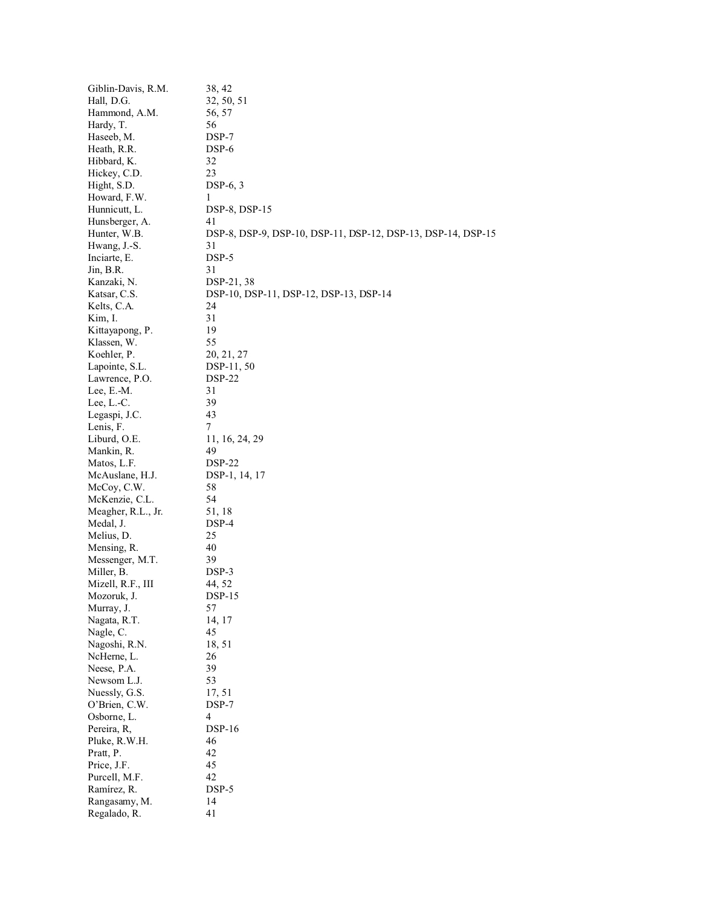| Giblin-Davis, R.M.         | 38, 42                                                       |
|----------------------------|--------------------------------------------------------------|
| Hall, D.G.                 | 32, 50, 51                                                   |
| Hammond, A.M.              | 56, 57                                                       |
| Hardy, T.                  | 56                                                           |
| Haseeb, M.                 | DSP-7                                                        |
| Heath, R.R.                | DSP-6                                                        |
| Hibbard, K.                | 32                                                           |
| Hickey, C.D.               | 23                                                           |
| Hight, S.D.                | $DSP-6, 3$                                                   |
| Howard, F.W.               | 1                                                            |
| Hunnicutt, L.              | DSP-8, DSP-15                                                |
| Hunsberger, A.             | 41                                                           |
| Hunter, W.B.               | DSP-8, DSP-9, DSP-10, DSP-11, DSP-12, DSP-13, DSP-14, DSP-15 |
| Hwang, J.-S.               | 31                                                           |
| Inciarte, E.               | DSP-5                                                        |
| $Jin$ , B.R.               | 31                                                           |
| Kanzaki, N.                | DSP-21, 38                                                   |
| Katsar, C.S.               | DSP-10, DSP-11, DSP-12, DSP-13, DSP-14                       |
| Kelts, C.A.                | 24                                                           |
|                            | 31                                                           |
| Kim, I.<br>Kittayapong, P. | 19                                                           |
|                            |                                                              |
| Klassen, W.                | 55                                                           |
| Koehler, P.                | 20, 21, 27                                                   |
| Lapointe, S.L.             | DSP-11, 50                                                   |
| Lawrence, P.O.             | <b>DSP-22</b>                                                |
| Lee, E.-M.                 | 31                                                           |
| Lee, $L.-C$ .              | 39                                                           |
| Legaspi, J.C.              | 43                                                           |
| Lenis, F.                  | 7                                                            |
| Liburd, O.E.               | 11, 16, 24, 29                                               |
| Mankin, R.                 | 49                                                           |
| Matos, L.F.                | $DSP-22$                                                     |
| McAuslane, H.J.            | DSP-1, 14, 17                                                |
| McCoy, C.W.                | 58                                                           |
| McKenzie, C.L.             | 54                                                           |
| Meagher, R.L., Jr.         | 51, 18                                                       |
| Medal, J.                  | DSP-4                                                        |
| Melius, D.                 | 25                                                           |
| Mensing, R.                | 40                                                           |
| Messenger, M.T.            | 39                                                           |
| Miller, B.                 | DSP-3                                                        |
| Mizell, R.F., III          | 44, 52                                                       |
| Mozoruk, J.                | <b>DSP-15</b>                                                |
| Murray, J.                 | 57                                                           |
| Nagata, R.T.               | 14, 17                                                       |
| Nagle, C.                  | 45                                                           |
| Nagoshi, R.N.              | 18, 51                                                       |
| NcHerne, L.                | 26                                                           |
| Neese, P.A.                | 39                                                           |
| Newsom L.J.                | 53                                                           |
| Nuessly, G.S.              | 17, 51                                                       |
| O'Brien, C.W.              | $DSP-7$                                                      |
| Osborne, L.                | 4                                                            |
| Pereira, R,                | <b>DSP-16</b>                                                |
| Pluke, R.W.H.              | 46                                                           |
| Pratt, P.                  | 42                                                           |
| Price, J.F.                | 45                                                           |
| Purcell, M.F.              | 42                                                           |
|                            |                                                              |
| Ramírez, R.                | DSP-5<br>14                                                  |
| Rangasamy, M.              |                                                              |
| Regalado, R.               | 41                                                           |